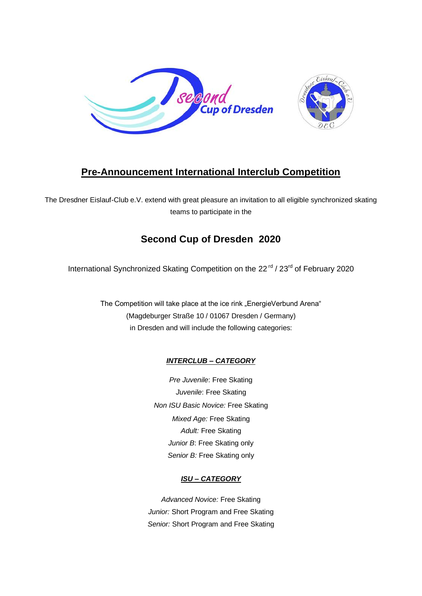

# **Pre-Announcement International Interclub Competition**

The Dresdner Eislauf-Club e.V. extend with great pleasure an invitation to all eligible synchronized skating teams to participate in the

## **Second Cup of Dresden 2020**

International Synchronized Skating Competition on the 22<sup>rd</sup> / 23<sup>rd</sup> of February 2020

The Competition will take place at the ice rink "EnergieVerbund Arena" (Magdeburger Straße 10 / 01067 Dresden / Germany) in Dresden and will include the following categories:

### *INTERCLUB – CATEGORY*

*Pre Juvenile*: Free Skating *Juvenile*: Free Skating *Non ISU Basic Novice:* Free Skating *Mixed Age:* Free Skating *Adult:* Free Skating *Junior B*: Free Skating only *Senior B:* Free Skating only

### *ISU – CATEGORY*

*Advanced Novice:* Free Skating *Junior:* Short Program and Free Skating *Senior:* Short Program and Free Skating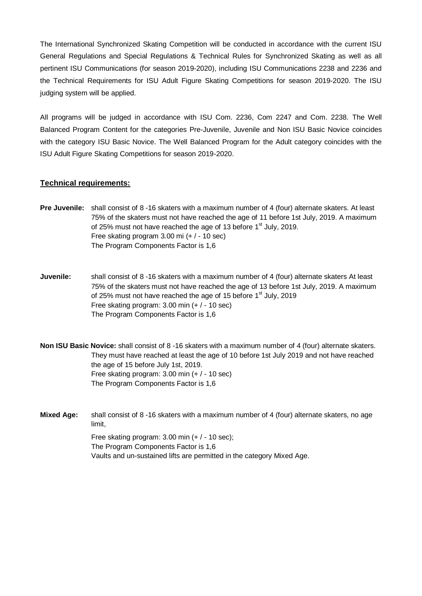The International Synchronized Skating Competition will be conducted in accordance with the current ISU General Regulations and Special Regulations & Technical Rules for Synchronized Skating as well as all pertinent ISU Communications (for season 2019-2020), including ISU Communications 2238 and 2236 and the Technical Requirements for ISU Adult Figure Skating Competitions for season 2019-2020. The ISU judging system will be applied.

All programs will be judged in accordance with ISU Com. 2236, Com 2247 and Com. 2238. The Well Balanced Program Content for the categories Pre-Juvenile, Juvenile and Non ISU Basic Novice coincides with the category ISU Basic Novice. The Well Balanced Program for the Adult category coincides with the ISU Adult Figure Skating Competitions for season 2019-2020.

#### **Technical requirements:**

- **Pre Juvenile:** shall consist of 8 -16 skaters with a maximum number of 4 (four) alternate skaters. At least 75% of the skaters must not have reached the age of 11 before 1st July, 2019. A maximum of 25% must not have reached the age of 13 before  $1<sup>st</sup>$  July, 2019. Free skating program 3.00 mi (+ / - 10 sec) The Program Components Factor is 1,6
- **Juvenile:** shall consist of 8 -16 skaters with a maximum number of 4 (four) alternate skaters At least 75% of the skaters must not have reached the age of 13 before 1st July, 2019. A maximum of 25% must not have reached the age of 15 before  $1<sup>st</sup>$  July, 2019 Free skating program: 3.00 min (+ / - 10 sec) The Program Components Factor is 1,6

**Non ISU Basic Novice:** shall consist of 8 -16 skaters with a maximum number of 4 (four) alternate skaters. They must have reached at least the age of 10 before 1st July 2019 and not have reached the age of 15 before July 1st, 2019. Free skating program: 3.00 min (+ / - 10 sec) The Program Components Factor is 1,6

**Mixed Age:** shall consist of 8 -16 skaters with a maximum number of 4 (four) alternate skaters, no age limit, Free skating program: 3.00 min (+ / - 10 sec);

The Program Components Factor is 1,6 Vaults and un-sustained lifts are permitted in the category Mixed Age.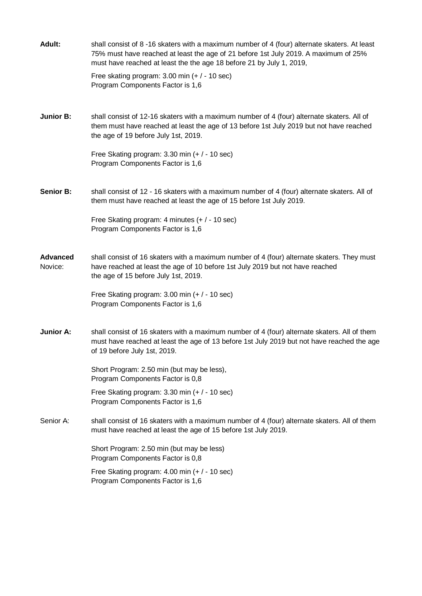| <b>Adult:</b>              | shall consist of 8-16 skaters with a maximum number of 4 (four) alternate skaters. At least<br>75% must have reached at least the age of 21 before 1st July 2019. A maximum of 25%<br>must have reached at least the the age 18 before 21 by July 1, 2019, |
|----------------------------|------------------------------------------------------------------------------------------------------------------------------------------------------------------------------------------------------------------------------------------------------------|
|                            | Free skating program: $3.00$ min (+ $/$ - 10 sec)<br>Program Components Factor is 1,6                                                                                                                                                                      |
| <b>Junior B:</b>           | shall consist of 12-16 skaters with a maximum number of 4 (four) alternate skaters. All of<br>them must have reached at least the age of 13 before 1st July 2019 but not have reached<br>the age of 19 before July 1st, 2019.                              |
|                            | Free Skating program: 3.30 min (+ / - 10 sec)<br>Program Components Factor is 1,6                                                                                                                                                                          |
| <b>Senior B:</b>           | shall consist of 12 - 16 skaters with a maximum number of 4 (four) alternate skaters. All of<br>them must have reached at least the age of 15 before 1st July 2019.                                                                                        |
|                            | Free Skating program: 4 minutes (+ / - 10 sec)<br>Program Components Factor is 1,6                                                                                                                                                                         |
| <b>Advanced</b><br>Novice: | shall consist of 16 skaters with a maximum number of 4 (four) alternate skaters. They must<br>have reached at least the age of 10 before 1st July 2019 but not have reached<br>the age of 15 before July 1st, 2019.                                        |
|                            | Free Skating program: 3.00 min (+ / - 10 sec)<br>Program Components Factor is 1,6                                                                                                                                                                          |
| <b>Junior A:</b>           | shall consist of 16 skaters with a maximum number of 4 (four) alternate skaters. All of them<br>must have reached at least the age of 13 before 1st July 2019 but not have reached the age<br>of 19 before July 1st, 2019.                                 |
|                            | Short Program: 2.50 min (but may be less),<br>Program Components Factor is 0,8                                                                                                                                                                             |
|                            | Free Skating program: $3.30$ min (+ $/$ - 10 sec)<br>Program Components Factor is 1,6                                                                                                                                                                      |
| Senior A:                  | shall consist of 16 skaters with a maximum number of 4 (four) alternate skaters. All of them<br>must have reached at least the age of 15 before 1st July 2019.                                                                                             |
|                            | Short Program: 2.50 min (but may be less)<br>Program Components Factor is 0,8                                                                                                                                                                              |
|                            | Free Skating program: $4.00$ min $(+ / - 10$ sec)<br>Program Components Factor is 1,6                                                                                                                                                                      |